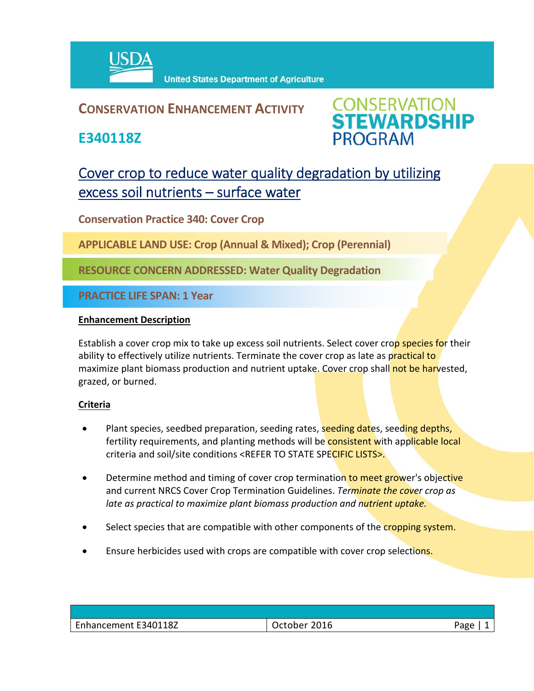

## **CONSERVATION ENHANCEMENT ACTIVITY**

**E340118Z**



# Cover crop to reduce water quality degradation by utilizing excess soil nutrients – surface water

**Conservation Practice 340: Cover Crop**

**APPLICABLE LAND USE: Crop (Annual & Mixed); Crop (Perennial)**

**RESOURCE CONCERN ADDRESSED: Water Quality Degradation**

**PRACTICE LIFE SPAN: 1 Year**

#### **Enhancement Description**

Establish a cover crop mix to take up excess soil nutrients. Select cover crop species for their ability to effectively utilize nutrients. Terminate the cover crop as late as practical to maximize plant biomass production and nutrient uptake. Cover crop shall not be harvested, grazed, or burned.

### **Criteria**

- Plant species, seedbed preparation, seeding rates, seeding dates, seeding depths, fertility requirements, and planting methods will be consistent with applicable local criteria and soil/site conditions <REFER TO STATE SPECIFIC LISTS>.
- Determine method and timing of cover crop termination to meet grower's objective and current NRCS Cover Crop Termination Guidelines. *Terminate the cover crop as late as practical to maximize plant biomass production and nutrient uptake.*
- Select species that are compatible with other components of the cropping system.
- Ensure herbicides used with crops are compatible with cover crop selections.

| $\overline{\phantom{0}}$<br>$-340118Z$<br>Enhancement F<br>-- | $-2012$<br>$-+0.5.8$<br>╺<br>∍cton⊷<br>- 710 | Page |
|---------------------------------------------------------------|----------------------------------------------|------|